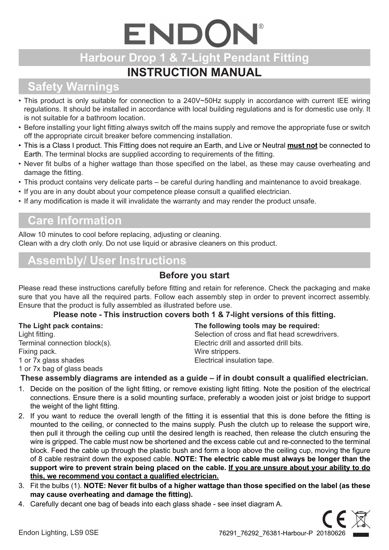# ENDON **Harbour Drop 1 & 7-Light Pendant Fitting**

## **INSTRUCTION MANUAL**

## **Safety Warnings**

- This product is only suitable for connection to a 240V~50Hz supply in accordance with current IEE wiring regulations. It should be installed in accordance with local building regulations and is for domestic use only. It is not suitable for a bathroom location.
- Before installing your light fitting always switch off the mains supply and remove the appropriate fuse or switch off the appropriate circuit breaker before commencing installation.
- • This is a Class I product. This Fitting does not require an Earth, and Live or Neutral **must not** be connected to Earth. The terminal blocks are supplied according to requirements of the fitting.
- Never fit bulbs of a higher wattage than those specified on the label, as these may cause overheating and damage the fitting.
- This product contains very delicate parts be careful during handling and maintenance to avoid breakage.
- If you are in any doubt about your competence please consult a qualified electrician.
- If any modification is made it will invalidate the warranty and may render the product unsafe.

#### **Care Information**

Allow 10 minutes to cool before replacing, adjusting or cleaning. Clean with a dry cloth only. Do not use liquid or abrasive cleaners on this product.

#### **Assembly/ User Instructions**

#### **Before you start**

Please read these instructions carefully before fitting and retain for reference. Check the packaging and make sure that you have all the required parts. Follow each assembly step in order to prevent incorrect assembly. Ensure that the product is fully assembled as illustrated before use.

#### **Please note - This instruction covers both 1 & 7-light versions of this fitting.**

| The Light pack contains:      | The following tools may be required:           |
|-------------------------------|------------------------------------------------|
| Light fitting.                | Selection of cross and flat head screwdrivers. |
| Terminal connection block(s). | Electric drill and assorted drill bits.        |
| Fixing pack.                  | Wire strippers.                                |
| 1 or 7x glass shades          | Electrical insulation tape.                    |
| 1 or 7x bag of glass beads    |                                                |

#### **These assembly diagrams are intended as a guide – if in doubt consult a qualified electrician.**

- 1. Decide on the position of the light fitting, or remove existing light fitting. Note the position of the electrical connections. Ensure there is a solid mounting surface, preferably a wooden joist or joist bridge to support the weight of the light fitting.
- 2. If you want to reduce the overall length of the fitting it is essential that this is done before the fitting is mounted to the ceiling, or connected to the mains supply. Push the clutch up to release the support wire, then pull it through the ceiling cup until the desired length is reached, then release the clutch ensuring the wire is gripped. The cable must now be shortened and the excess cable cut and re-connected to the terminal block. Feed the cable up through the plastic bush and form a loop above the ceiling cup, moving the figure of 8 cable restraint down the exposed cable. **NOTE: The electric cable must always be longer than the support wire to prevent strain being placed on the cable. If you are unsure about your ability to do this, we recommend you contact a qualified electrician.**
- 3. Fit the bulbs (1). **NOTE: Never fit bulbs of a higher wattage than those specified on the label (as these may cause overheating and damage the fitting).**
- 4. Carefully decant one bag of beads into each glass shade see inset diagram A.